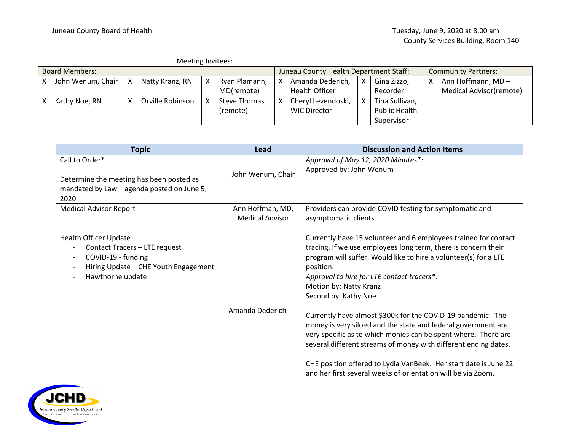|                       | Meeting Invitees: |                       |   |                  |                                        |                     |  |                            |   |                      |                         |
|-----------------------|-------------------|-----------------------|---|------------------|----------------------------------------|---------------------|--|----------------------------|---|----------------------|-------------------------|
| <b>Board Members:</b> |                   |                       |   |                  | Juneau County Health Department Staff: |                     |  | <b>Community Partners:</b> |   |                      |                         |
|                       |                   | John Wenum, Chair   X |   | Natty Kranz, RN  |                                        | Ryan Plamann,       |  | Amanda Dederich,           | Χ | Gina Zizzo,          | Ann Hoffmann, MD-       |
|                       |                   |                       |   |                  |                                        | MD(remote)          |  | Health Officer             |   | Recorder             | Medical Advisor(remote) |
|                       | Kathy Noe, RN     |                       | x | Orville Robinson |                                        | <b>Steve Thomas</b> |  | Cheryl Levendoski,         |   | Tina Sullivan,       |                         |
|                       |                   |                       |   |                  |                                        | (remote)            |  | <b>WIC Director</b>        |   | <b>Public Health</b> |                         |
|                       |                   |                       |   |                  |                                        |                     |  |                            |   | Supervisor           |                         |

| <b>Topic</b>                                                                                                                                                                                            | Lead                                       | <b>Discussion and Action Items</b>                                                                                                                                                                                                                                                                                                                                                                                                                                                                                                                                                                                                                                                                                          |
|---------------------------------------------------------------------------------------------------------------------------------------------------------------------------------------------------------|--------------------------------------------|-----------------------------------------------------------------------------------------------------------------------------------------------------------------------------------------------------------------------------------------------------------------------------------------------------------------------------------------------------------------------------------------------------------------------------------------------------------------------------------------------------------------------------------------------------------------------------------------------------------------------------------------------------------------------------------------------------------------------------|
| Call to Order*<br>Determine the meeting has been posted as<br>mandated by Law - agenda posted on June 5,<br>2020                                                                                        | John Wenum, Chair                          | Approval of May 12, 2020 Minutes*:<br>Approved by: John Wenum                                                                                                                                                                                                                                                                                                                                                                                                                                                                                                                                                                                                                                                               |
| <b>Medical Advisor Report</b>                                                                                                                                                                           | Ann Hoffman, MD,<br><b>Medical Advisor</b> | Providers can provide COVID testing for symptomatic and<br>asymptomatic clients                                                                                                                                                                                                                                                                                                                                                                                                                                                                                                                                                                                                                                             |
| <b>Health Officer Update</b><br>Contact Tracers - LTE request<br>COVID-19 - funding<br>$\overline{\phantom{a}}$<br>Hiring Update - CHE Youth Engagement<br>$\overline{\phantom{a}}$<br>Hawthorne update | Amanda Dederich                            | Currently have 15 volunteer and 6 employees trained for contact<br>tracing. If we use employees long term, there is concern their<br>program will suffer. Would like to hire a volunteer(s) for a LTE<br>position.<br>Approval to hire for LTE contact tracers*:<br>Motion by: Natty Kranz<br>Second by: Kathy Noe<br>Currently have almost \$300k for the COVID-19 pandemic. The<br>money is very siloed and the state and federal government are<br>very specific as to which monies can be spent where. There are<br>several different streams of money with different ending dates.<br>CHE position offered to Lydia VanBeek. Her start date is June 22<br>and her first several weeks of orientation will be via Zoom. |

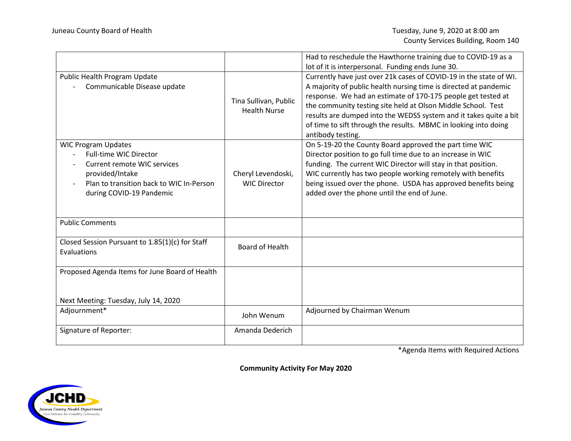|                                                                                                                                                                                       |                                              | Had to reschedule the Hawthorne training due to COVID-19 as a<br>lot of it is interpersonal. Funding ends June 30.                                                                                                                                                                                                                                                                                                                  |
|---------------------------------------------------------------------------------------------------------------------------------------------------------------------------------------|----------------------------------------------|-------------------------------------------------------------------------------------------------------------------------------------------------------------------------------------------------------------------------------------------------------------------------------------------------------------------------------------------------------------------------------------------------------------------------------------|
| Public Health Program Update<br>Communicable Disease update                                                                                                                           | Tina Sullivan, Public<br><b>Health Nurse</b> | Currently have just over 21k cases of COVID-19 in the state of WI.<br>A majority of public health nursing time is directed at pandemic<br>response. We had an estimate of 170-175 people get tested at<br>the community testing site held at Olson Middle School. Test<br>results are dumped into the WEDSS system and it takes quite a bit<br>of time to sift through the results. MBMC in looking into doing<br>antibody testing. |
| <b>WIC Program Updates</b><br><b>Full-time WIC Director</b><br>Current remote WIC services<br>provided/Intake<br>Plan to transition back to WIC In-Person<br>during COVID-19 Pandemic | Cheryl Levendoski,<br><b>WIC Director</b>    | On 5-19-20 the County Board approved the part time WIC<br>Director position to go full time due to an increase in WIC<br>funding. The current WIC Director will stay in that position.<br>WIC currently has two people working remotely with benefits<br>being issued over the phone. USDA has approved benefits being<br>added over the phone until the end of June.                                                               |
| <b>Public Comments</b>                                                                                                                                                                |                                              |                                                                                                                                                                                                                                                                                                                                                                                                                                     |
| Closed Session Pursuant to 1.85(1)(c) for Staff<br>Evaluations                                                                                                                        | <b>Board of Health</b>                       |                                                                                                                                                                                                                                                                                                                                                                                                                                     |
| Proposed Agenda Items for June Board of Health                                                                                                                                        |                                              |                                                                                                                                                                                                                                                                                                                                                                                                                                     |
| Next Meeting: Tuesday, July 14, 2020                                                                                                                                                  |                                              |                                                                                                                                                                                                                                                                                                                                                                                                                                     |
| Adjournment*                                                                                                                                                                          | John Wenum                                   | Adjourned by Chairman Wenum                                                                                                                                                                                                                                                                                                                                                                                                         |
| Signature of Reporter:                                                                                                                                                                | Amanda Dederich                              |                                                                                                                                                                                                                                                                                                                                                                                                                                     |

\*Agenda Items with Required Actions

**Community Activity For May 2020**